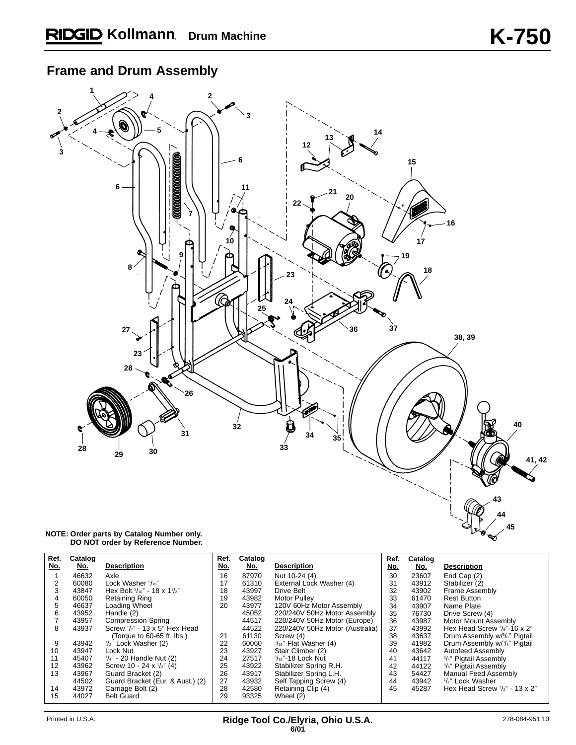## **Frame and Drum Assembly**



#### **NOTE: Order parts by Catalog Number only. DO NOT order by Reference Number.**

| Ref.              | Catalog |                                     | Ref. | Catalog |                                 | Ref. | Catalog |                                                |
|-------------------|---------|-------------------------------------|------|---------|---------------------------------|------|---------|------------------------------------------------|
| No.               | No.     | <b>Description</b>                  | No.  | No.     | <b>Description</b>              | No.  | No.     | <b>Description</b>                             |
|                   | 46632   | Axle                                | 16   | 87970   | Nut 10-24 (4)                   | 30   | 23607   | End Cap (2)                                    |
|                   | 60080   | Lock Washer 5/16"                   | 17   | 61310   | External Lock Washer (4)        | 31   | 43912   | Stabilizer (2)                                 |
|                   | 43847   | Hex Bolt 5/16" - 18 x 11/2"         | 18   | 43997   | Drive Belt                      | 32   | 43902   | <b>Frame Assembly</b>                          |
| 4                 | 60050   | <b>Retaining Ring</b>               | 19   | 43982   | <b>Motor Pulley</b>             | 33   | 61470   | <b>Rest Button</b>                             |
| 5                 | 46637   | Loading Wheel                       | 20   | 43977   | 120V 60Hz Motor Assembly        | 34   | 43907   | Name Plate                                     |
| 6                 | 43952   | Handle (2)                          |      | 45052   | 220/240V 50Hz Motor Assembly    | 35   | 76730   | Drive Screw (4)                                |
|                   | 43957   | <b>Compression Spring</b>           |      | 44517   | 220/240V 50Hz Motor (Europe)    | 36   | 43987   | Motor Mount Assembly                           |
| 8                 | 43937   | Screw 1/2" - 13 x 5" Hex Head       |      | 44522   | 220/240V 50Hz Motor (Australia) | 37   | 43992   | Hex Head Screw 3/8"-16 x 2"                    |
|                   |         | (Torque to 60-65 ft. lbs.)          | 21   | 61130   | Screw (4)                       | 38   | 43637   | Drum Assembly w/5/8" Pigtail                   |
| 9                 | 43942   | $1/z''$ Lock Washer (2)             | 22   | 60060   | $5/16''$ Flat Washer (4)        | 39   | 41982   | Drum Assembly w/3/4" Pigtail                   |
| 10                | 43947   | Lock Nut                            | 23   | 43927   | Stair Climber (2)               | 40   | 43642   | Autofeed Assembly                              |
| 11                | 45407   | $\frac{1}{4}$ " - 20 Handle Nut (2) | 24   | 27517   | $5/16$ "-18 Lock Nut            | 41   | 44117   | <sup>3</sup> / <sub>4</sub> " Pigtail Assembly |
| $12 \overline{ }$ | 43962   | Screw 10 - 24 x $\frac{1}{2}$ " (4) | 25   | 43922   | Stabilizer Spring R.H.          | 42   | 44122   | <sup>5</sup> /s" Pigtail Assembly              |
| 13                | 43967   | Guard Bracket (2)                   | 26   | 43917   | Stabilizer Spring L.H.          | 43   | 54427   | Manual Feed Assembly                           |
|                   | 44502   | Guard Bracket (Eur. & Aust.) (2)    | 27   | 43932   | Self Tapping Screw (4)          | 44   | 43942   | 1/2" Lock Washer                               |
| 14                | 43972   | Carriage Bolt (2)                   | 28   | 42580   | Retaining Clip (4)              | 45   | 45287   | Hex Head Screw $\frac{1}{2}$ " - 13 x 2"       |
| 15                | 44027   | <b>Belt Guard</b>                   | 29   | 93325   | Wheel (2)                       |      |         |                                                |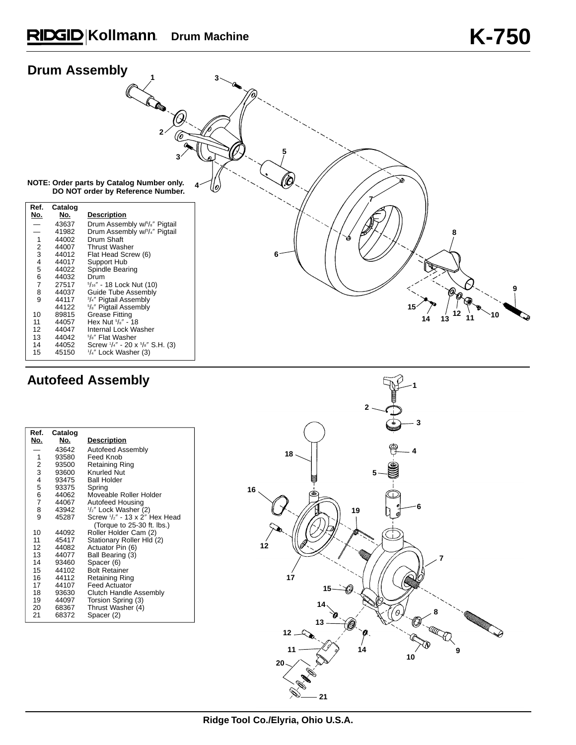# **Kollmann Drum Machine K-750**

| <b>Drum Assembly</b>                                                                                                                          |                                                                                                                                                                                  |                                                                                                                                                                                                                                                                                                                                                                                                                                                                                                                                             |                                                                                        |
|-----------------------------------------------------------------------------------------------------------------------------------------------|----------------------------------------------------------------------------------------------------------------------------------------------------------------------------------|---------------------------------------------------------------------------------------------------------------------------------------------------------------------------------------------------------------------------------------------------------------------------------------------------------------------------------------------------------------------------------------------------------------------------------------------------------------------------------------------------------------------------------------------|----------------------------------------------------------------------------------------|
|                                                                                                                                               |                                                                                                                                                                                  | <b>COLOR</b><br>2 <sub>1</sub><br>3<br>NOTE: Order parts by Catalog Number only.<br>DO NOT order by Reference Number.                                                                                                                                                                                                                                                                                                                                                                                                                       | 'O<br>Jo)                                                                              |
| Ref.<br>No.<br>$\mathbf{1}$<br>$\boldsymbol{2}$<br>3<br>4<br>$\mathbf 5$<br>6<br>$\overline{7}$<br>8<br>9<br>10<br>11<br>12<br>13<br>14<br>15 | Catalog<br>No.<br>43637<br>41982<br>44002<br>44007<br>44012<br>44017<br>44022<br>44032<br>27517<br>44037<br>44117<br>44122<br>89815<br>44057<br>44047<br>44042<br>44052<br>45150 | <b>Description</b><br>Drum Assembly w/5/s" Pigtail<br>Drum Assembly w/3/4" Pigtail<br>Drum Shaft<br><b>Thrust Washer</b><br>Flat Head Screw (6)<br>Support Hub<br>Spindle Bearing<br>Drum<br>$5/16''$ - 18 Lock Nut (10)<br>Guide Tube Assembly<br><sup>3</sup> / <sub>4</sub> " Pigtail Assembly<br><sup>5</sup> /s" Pigtail Assembly<br><b>Grease Fitting</b><br>Hex Nut $\frac{5}{8}$ " - 18<br>Internal Lock Washer<br><sup>5</sup> / <sub>8</sub> " Flat Washer<br>Screw '/4" - 20 x <sup>5</sup> /8" S.H. (3)<br>1/4" Lock Washer (3) | 8<br>Ŵ<br>6<br>$\mathscr{O}_{\mathscr{O}}$<br>15<br>12<br>$\dot{10}$<br>13<br>11<br>14 |

## **Autofeed Assembly**

| Ref.<br>No.    | Catalog<br>No. | <b>Description</b>            |
|----------------|----------------|-------------------------------|
|                | 43642          | Autofeed Assembly             |
| 1              | 93580          | Feed Knob                     |
| 2              | 93500          | Retaining Ring                |
| 3              | 93600          | <b>Knurled Nut</b>            |
| 4              | 93475          | <b>Ball Holder</b>            |
| 5              | 93375          | Spring                        |
| 6              | 44062          | Moveable Roller Holder        |
| $\overline{7}$ | 44067          | Autofeed Housing              |
| 8              | 43942          | 1/2" Lock Washer (2)          |
| 9              | 45287          | Screw 1/2" - 13 x 2" Hex Head |
|                |                | (Torque to 25-30 ft. lbs.)    |
| 10             | 44092          | Roller Holder Cam (2)         |
| 11             | 45417          | Stationary Roller Hld (2)     |
| 12             | 44082          | Actuator Pin (6)              |
| 13             | 44077          | Ball Bearing (3)              |
| 14             | 93460          | Spacer (6)                    |
| 15             | 44102          | <b>Bolt Retainer</b>          |
| 16             | 44112          | Retaining Ring                |
| 17             | 44107          | <b>Feed Actuator</b>          |
| 18             | 93630          | Clutch Handle Assembly        |
| 19             | 44097          | Torsion Spring (3)            |
| 20             | 68367          | Thrust Washer (4)             |
| 21             | 68372          | Spacer (2)                    |

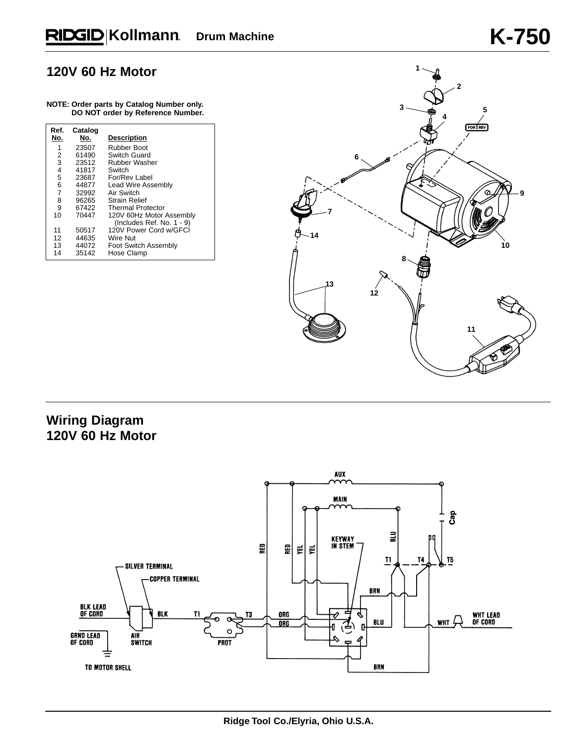#### **120V 60 Hz Motor**

#### **NOTE: Order parts by Catalog Number only. DO NOT order by Reference Number.**

| Ref.<br>No. | Catalog<br>No. | <b>Description</b>        |
|-------------|----------------|---------------------------|
| 1           | 23507          | Rubber Boot               |
| 2           | 61490          | Switch Guard              |
| 3           | 23512          | <b>Rubber Washer</b>      |
| 4           | 41817          | Switch                    |
| 5           | 23687          | For/Rev Label             |
| 6           | 44877          | Lead Wire Assembly        |
| 7           | 32992          | Air Switch                |
| 8           | 96265          | <b>Strain Relief</b>      |
| 9           | 67422          | <b>Thermal Protector</b>  |
| 10          | 70447          | 120V 60Hz Motor Assembly  |
|             |                | (Includes Ref. No. 1 - 9) |
| 11          | 50517          | 120V Power Cord w/GFCI    |
| 12          | 44635          | Wire Nut                  |
| 13          | 44072          | Foot Switch Assembly      |
| 14          | 35142          | Hose Clamp                |



### **Wiring Diagram 120V 60 Hz Motor**